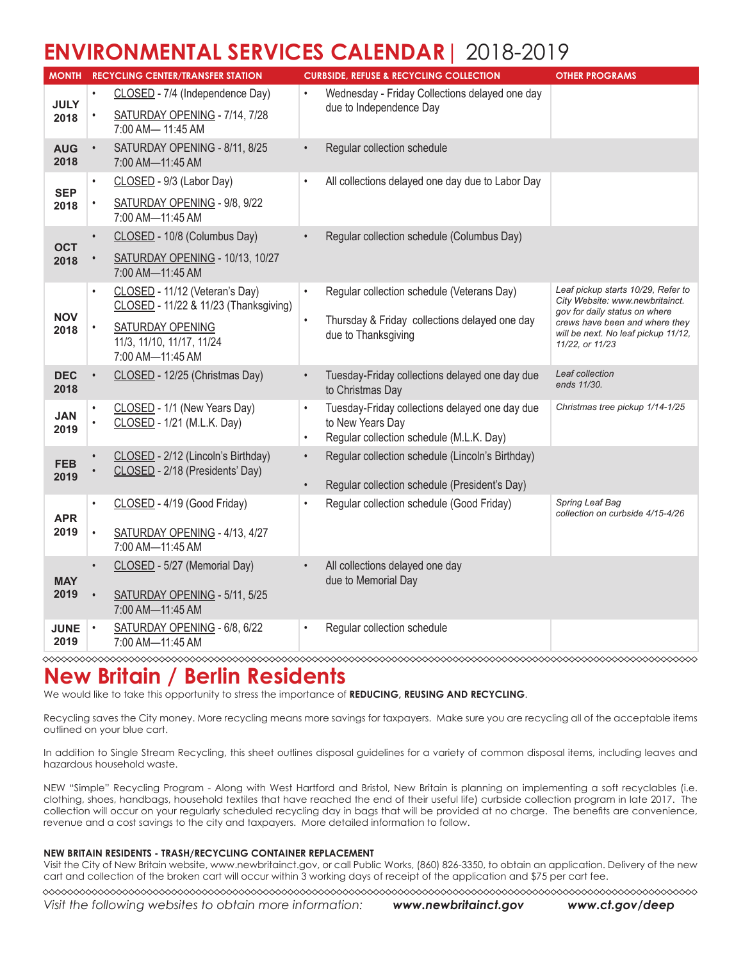# **ENVIRONMENTAL SERVICES CALENDAR**| 2018-2019

| <b>MONTH</b>        |           | <b>RECYCLING CENTER/TRANSFER STATION</b>                                 |           | <b>CURBSIDE, REFUSE &amp; RECYCLING COLLECTION</b>                   | <b>OTHER PROGRAMS</b>                                                                                  |
|---------------------|-----------|--------------------------------------------------------------------------|-----------|----------------------------------------------------------------------|--------------------------------------------------------------------------------------------------------|
|                     |           | CLOSED - 7/4 (Independence Day)                                          |           | Wednesday - Friday Collections delayed one day                       |                                                                                                        |
| <b>JULY</b><br>2018 |           | SATURDAY OPENING - 7/14, 7/28<br>7:00 AM- 11:45 AM                       |           | due to Independence Day                                              |                                                                                                        |
| <b>AUG</b><br>2018  | $\bullet$ | SATURDAY OPENING - 8/11, 8/25<br>7:00 AM-11:45 AM                        |           | Regular collection schedule                                          |                                                                                                        |
| <b>SEP</b>          | $\bullet$ | CLOSED - 9/3 (Labor Day)                                                 | $\bullet$ | All collections delayed one day due to Labor Day                     |                                                                                                        |
| 2018                |           | SATURDAY OPENING - 9/8, 9/22<br>7:00 AM-11:45 AM                         |           |                                                                      |                                                                                                        |
| <b>OCT</b><br>2018  |           | CLOSED - 10/8 (Columbus Day)                                             |           | Regular collection schedule (Columbus Day)                           |                                                                                                        |
|                     |           | SATURDAY OPENING - 10/13, 10/27<br>7:00 AM-11:45 AM                      |           |                                                                      |                                                                                                        |
|                     |           | CLOSED - 11/12 (Veteran's Day)<br>CLOSED - 11/22 & 11/23 (Thanksgiving)  | $\bullet$ | Regular collection schedule (Veterans Day)                           | Leaf pickup starts 10/29, Refer to<br>City Website: www.newbritainct.<br>gov for daily status on where |
| <b>NOV</b><br>2018  |           | <b>SATURDAY OPENING</b><br>11/3, 11/10, 11/17, 11/24<br>7:00 AM-11:45 AM |           | Thursday & Friday collections delayed one day<br>due to Thanksgiving | crews have been and where they<br>will be next. No leaf pickup 11/12,<br>11/22, or 11/23               |
| <b>DEC</b><br>2018  |           | CLOSED - 12/25 (Christmas Day)                                           |           | Tuesday-Friday collections delayed one day due<br>to Christmas Day   | Leaf collection<br>ends 11/30.                                                                         |
| <b>JAN</b><br>2019  |           | CLOSED - 1/1 (New Years Day)<br>CLOSED - 1/21 (M.L.K. Day)               |           | Tuesday-Friday collections delayed one day due<br>to New Years Day   | Christmas tree pickup 1/14-1/25                                                                        |
|                     |           |                                                                          | $\bullet$ | Regular collection schedule (M.L.K. Day)                             |                                                                                                        |
| <b>FEB</b><br>2019  |           | CLOSED - 2/12 (Lincoln's Birthday)<br>CLOSED - 2/18 (Presidents' Day)    |           | Regular collection schedule (Lincoln's Birthday)                     |                                                                                                        |
|                     |           |                                                                          |           | Regular collection schedule (President's Day)                        |                                                                                                        |
|                     |           | CLOSED - 4/19 (Good Friday)                                              | $\bullet$ | Regular collection schedule (Good Friday)                            | Spring Leaf Bag<br>collection on curbside 4/15-4/26                                                    |
| <b>APR</b><br>2019  |           | SATURDAY OPENING - 4/13, 4/27                                            |           |                                                                      |                                                                                                        |
|                     |           | 7:00 AM-11:45 AM                                                         |           |                                                                      |                                                                                                        |
|                     |           | CLOSED - 5/27 (Memorial Day)                                             |           | All collections delayed one day                                      |                                                                                                        |
| <b>MAY</b><br>2019  |           | SATURDAY OPENING - 5/11, 5/25<br>7:00 AM-11:45 AM                        |           | due to Memorial Day                                                  |                                                                                                        |
| <b>JUNE</b>         | $\bullet$ | SATURDAY OPENING - 6/8, 6/22                                             | $\bullet$ | Regular collection schedule                                          |                                                                                                        |
| 2019                |           | 7:00 AM-11:45 AM                                                         |           |                                                                      |                                                                                                        |

## **New Britain / Berlin Residents**

We would like to take this opportunity to stress the importance of **REDUCING, REUSING AND RECYCLING**.

Recycling saves the City money. More recycling means more savings for taxpayers. Make sure you are recycling all of the acceptable items outlined on your blue cart.

In addition to Single Stream Recycling, this sheet outlines disposal guidelines for a variety of common disposal items, including leaves and hazardous household waste.

NEW "Simple" Recycling Program - Along with West Hartford and Bristol, New Britain is planning on implementing a soft recyclables (i.e. clothing, shoes, handbags, household textiles that have reached the end of their useful life) curbside collection program in late 2017. The collection will occur on your regularly scheduled recycling day in bags that will be provided at no charge. The benefits are convenience, revenue and a cost savings to the city and taxpayers. More detailed information to follow.

#### **NEW BRITAIN RESIDENTS - TRASH/RECYCLING CONTAINER REPLACEMENT**

Visit the City of New Britain website, www.newbritainct.gov, or call Public Works, (860) 826-3350, to obtain an application. Delivery of the new cart and collection of the broken cart will occur within 3 working days of receipt of the application and \$75 per cart fee.

*Visit the following websites to obtain more information: www.newbritainct.gov www.ct.gov/deep*